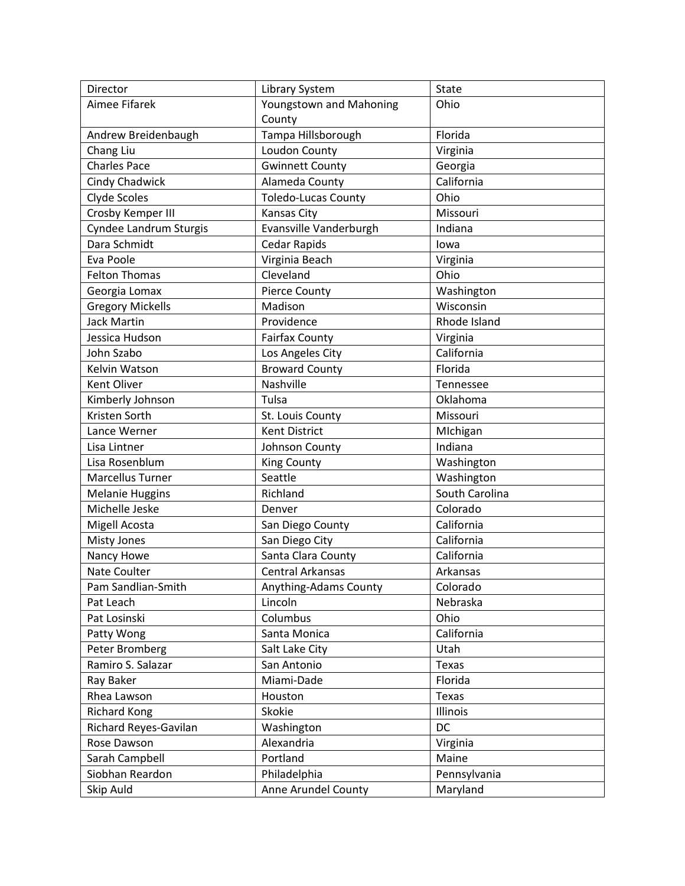| Director                | <b>Library System</b>      | State          |
|-------------------------|----------------------------|----------------|
| Aimee Fifarek           | Youngstown and Mahoning    | Ohio           |
|                         | County                     |                |
| Andrew Breidenbaugh     | Tampa Hillsborough         | Florida        |
| Chang Liu               | Loudon County              | Virginia       |
| <b>Charles Pace</b>     | <b>Gwinnett County</b>     | Georgia        |
| Cindy Chadwick          | Alameda County             | California     |
| Clyde Scoles            | <b>Toledo-Lucas County</b> | Ohio           |
| Crosby Kemper III       | Kansas City                | Missouri       |
| Cyndee Landrum Sturgis  | Evansville Vanderburgh     | Indiana        |
| Dara Schmidt            | <b>Cedar Rapids</b>        | lowa           |
| Eva Poole               | Virginia Beach             | Virginia       |
| <b>Felton Thomas</b>    | Cleveland                  | Ohio           |
| Georgia Lomax           | <b>Pierce County</b>       | Washington     |
| <b>Gregory Mickells</b> | Madison                    | Wisconsin      |
| <b>Jack Martin</b>      | Providence                 | Rhode Island   |
| Jessica Hudson          | <b>Fairfax County</b>      | Virginia       |
| John Szabo              | Los Angeles City           | California     |
| Kelvin Watson           | <b>Broward County</b>      | Florida        |
| Kent Oliver             | Nashville                  | Tennessee      |
| Kimberly Johnson        | Tulsa                      | Oklahoma       |
| Kristen Sorth           | St. Louis County           | Missouri       |
| Lance Werner            | <b>Kent District</b>       | Michigan       |
| Lisa Lintner            | Johnson County             | Indiana        |
| Lisa Rosenblum          | <b>King County</b>         | Washington     |
| Marcellus Turner        | Seattle                    | Washington     |
| <b>Melanie Huggins</b>  | Richland                   | South Carolina |
| Michelle Jeske          | Denver                     | Colorado       |
| Migell Acosta           | San Diego County           | California     |
| Misty Jones             | San Diego City             | California     |
| Nancy Howe              | Santa Clara County         | California     |
| Nate Coulter            | <b>Central Arkansas</b>    | Arkansas       |
| Pam Sandlian-Smith      | Anything-Adams County      | Colorado       |
| Pat Leach               | Lincoln                    | Nebraska       |
| Pat Losinski            | Columbus                   | Ohio           |
| Patty Wong              | Santa Monica               | California     |
| Peter Bromberg          | Salt Lake City             | Utah           |
| Ramiro S. Salazar       | San Antonio                | <b>Texas</b>   |
| Ray Baker               | Miami-Dade                 | Florida        |
| Rhea Lawson             | Houston                    | Texas          |
| <b>Richard Kong</b>     | Skokie                     | Illinois       |
| Richard Reyes-Gavilan   | Washington                 | DC             |
| Rose Dawson             | Alexandria                 | Virginia       |
| Sarah Campbell          | Portland                   | Maine          |
| Siobhan Reardon         | Philadelphia               | Pennsylvania   |
| Skip Auld               | Anne Arundel County        | Maryland       |